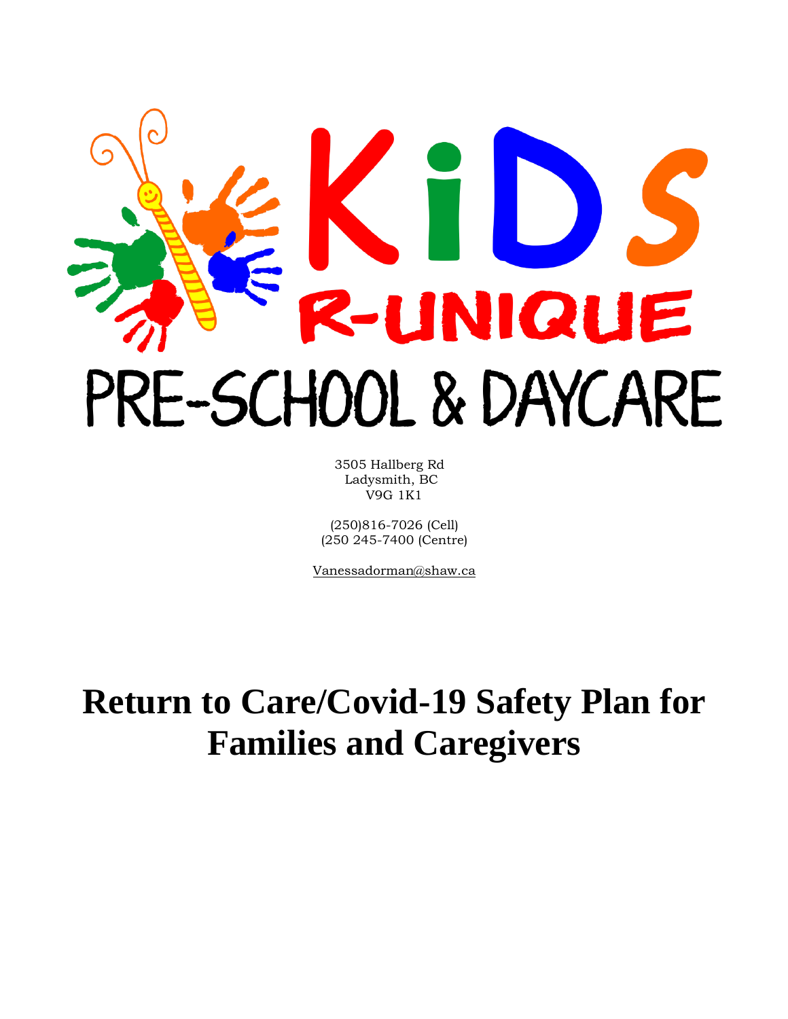# TD IQUE PRE-SCHOOL & DAYCARE

 3505 Hallberg Rd Ladysmith, BC V9G 1K1

(250)816-7026 (Cell) (250 245-7400 (Centre)

Vanessadorman@shaw.ca

# **Return to Care/Covid-19 Safety Plan for Families and Caregivers**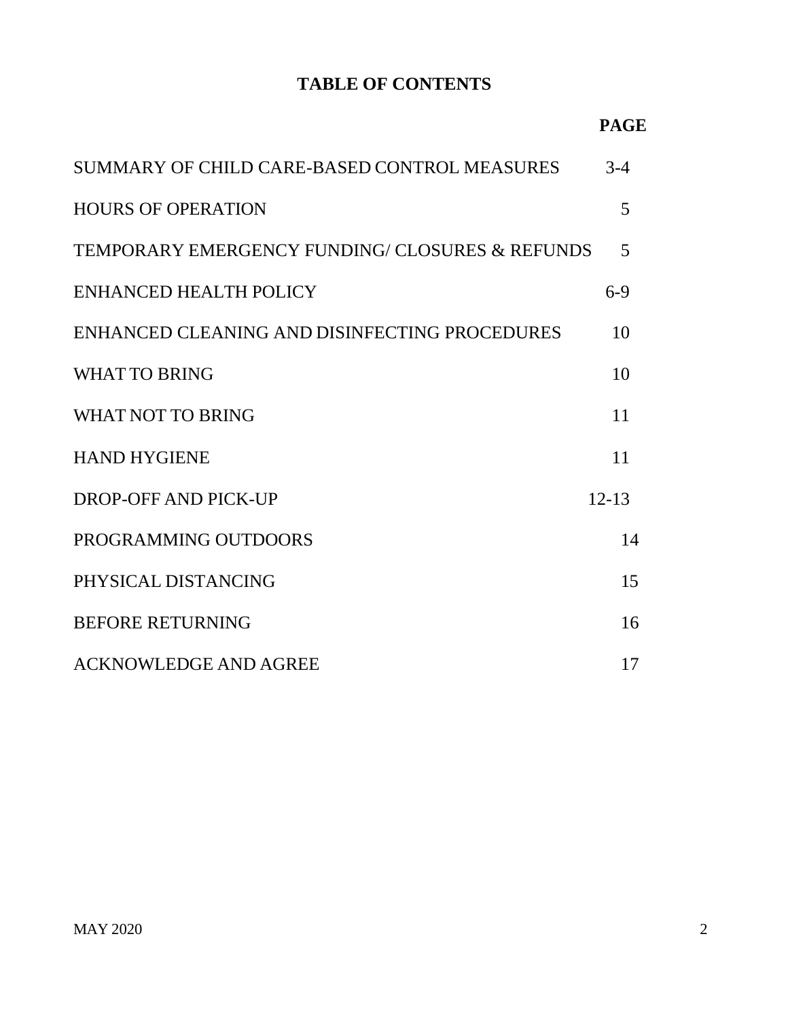# **TABLE OF CONTENTS**

|                                                | <b>PAGE</b> |
|------------------------------------------------|-------------|
| SUMMARY OF CHILD CARE-BASED CONTROL MEASURES   | $3-4$       |
| <b>HOURS OF OPERATION</b>                      | 5           |
| TEMPORARY EMERGENCY FUNDING/CLOSURES & REFUNDS | 5           |
| <b>ENHANCED HEALTH POLICY</b>                  | $6-9$       |
| ENHANCED CLEANING AND DISINFECTING PROCEDURES  | 10          |
| <b>WHAT TO BRING</b>                           | 10          |
| <b>WHAT NOT TO BRING</b>                       | 11          |
| <b>HAND HYGIENE</b>                            | 11          |
| DROP-OFF AND PICK-UP                           | $12 - 13$   |
| PROGRAMMING OUTDOORS                           | 14          |
| PHYSICAL DISTANCING                            | 15          |
| <b>BEFORE RETURNING</b>                        | 16          |
| <b>ACKNOWLEDGE AND AGREE</b>                   | 17          |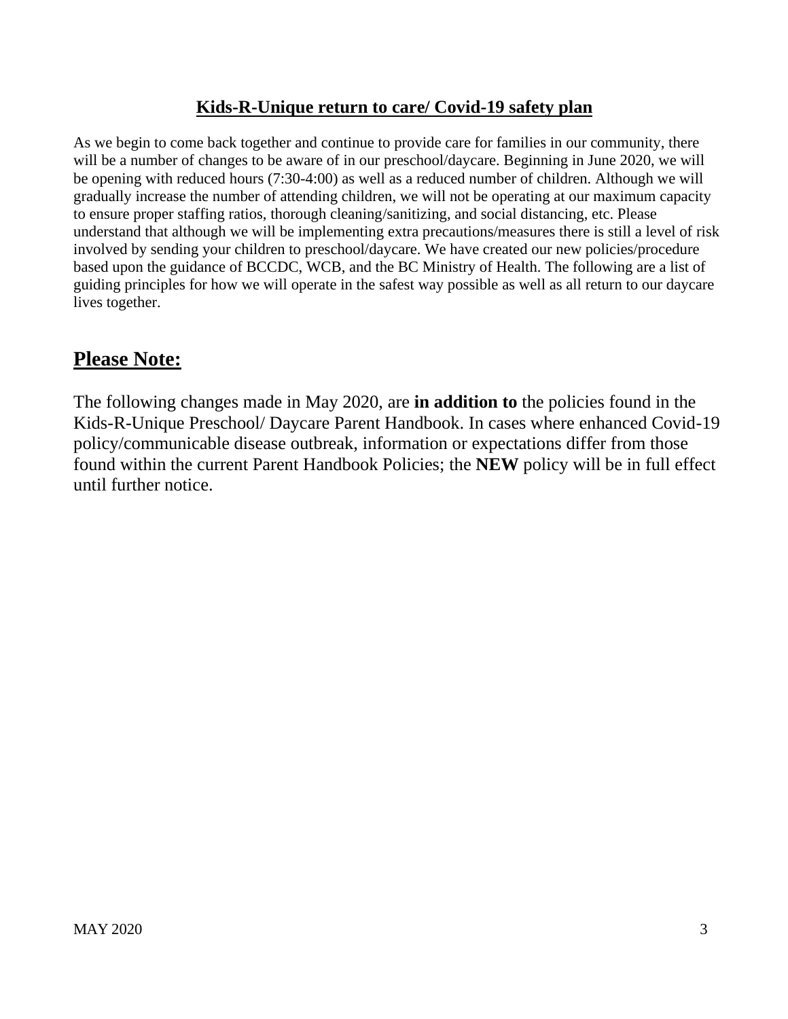#### **Kids-R-Unique return to care/ Covid-19 safety plan**

As we begin to come back together and continue to provide care for families in our community, there will be a number of changes to be aware of in our preschool/daycare. Beginning in June 2020, we will be opening with reduced hours (7:30-4:00) as well as a reduced number of children. Although we will gradually increase the number of attending children, we will not be operating at our maximum capacity to ensure proper staffing ratios, thorough cleaning/sanitizing, and social distancing, etc. Please understand that although we will be implementing extra precautions/measures there is still a level of risk involved by sending your children to preschool/daycare. We have created our new policies/procedure based upon the guidance of BCCDC, WCB, and the BC Ministry of Health. The following are a list of guiding principles for how we will operate in the safest way possible as well as all return to our daycare lives together.

# **Please Note:**

The following changes made in May 2020, are **in addition to** the policies found in the Kids-R-Unique Preschool/ Daycare Parent Handbook. In cases where enhanced Covid-19 policy/communicable disease outbreak, information or expectations differ from those found within the current Parent Handbook Policies; the **NEW** policy will be in full effect until further notice.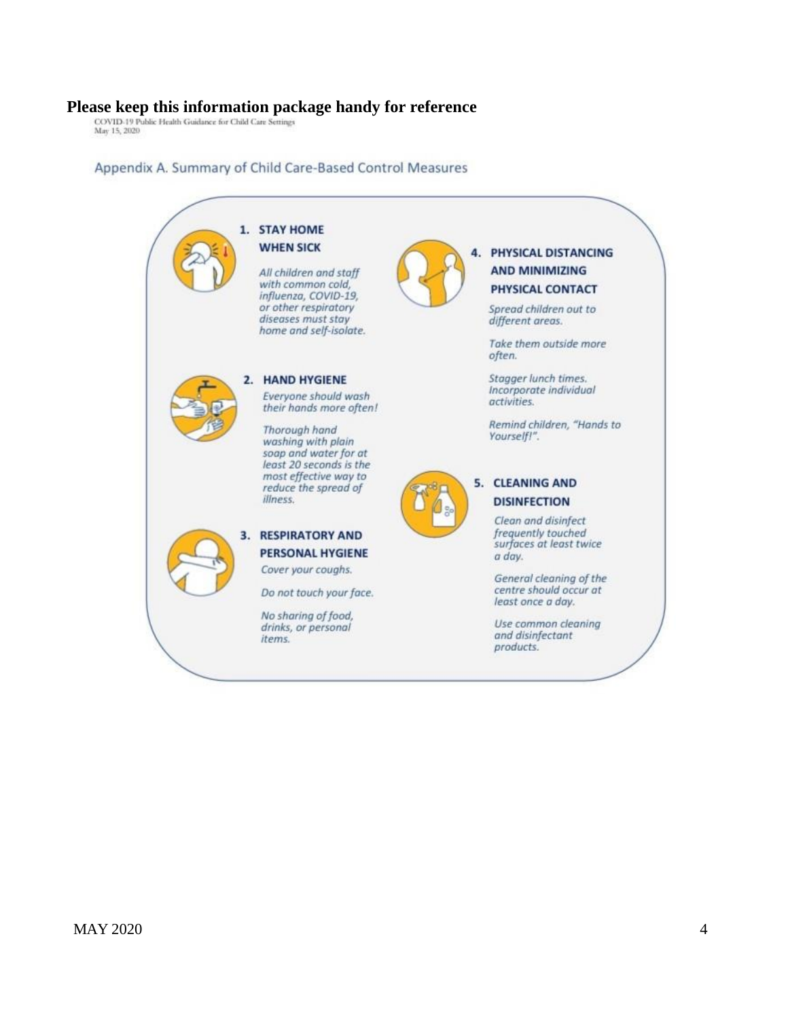# **Please keep this information package handy for reference**<br> $\frac{\text{COVID-19 Pubble Health Guidance for Child CarE Settings}}{\text{May 15, 2020}}$

#### Appendix A. Summary of Child Care-Based Control Measures

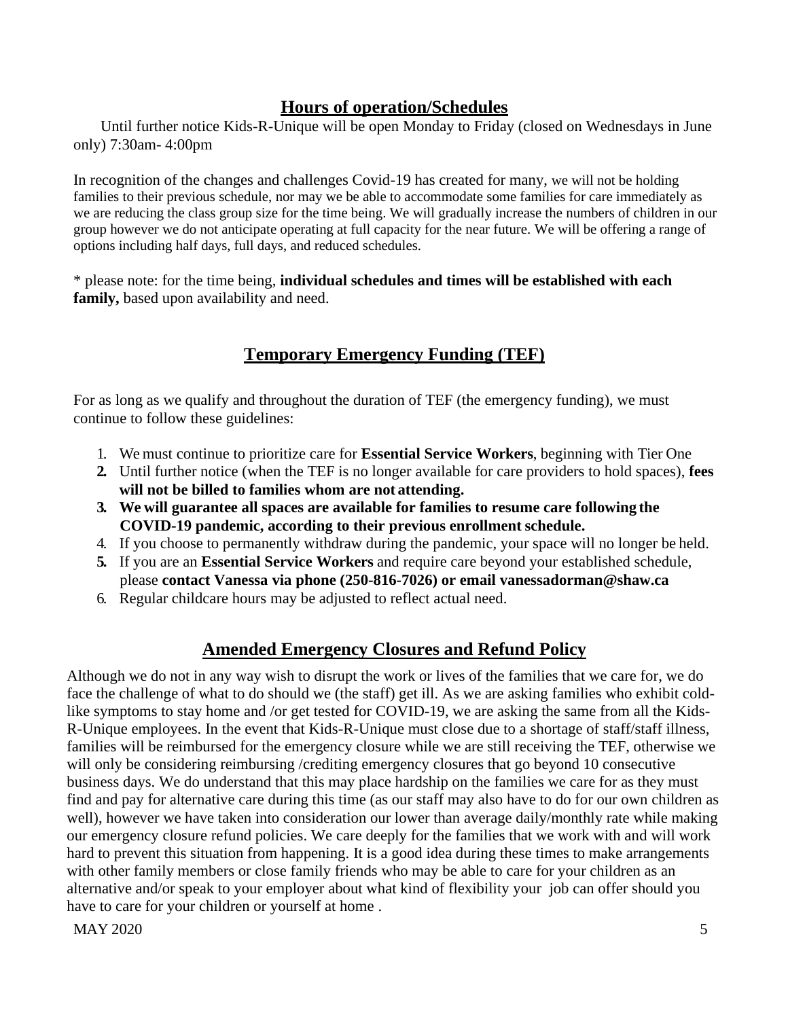#### **Hours of operation/Schedules**

 Until further notice Kids-R-Unique will be open Monday to Friday (closed on Wednesdays in June only) 7:30am- 4:00pm

In recognition of the changes and challenges Covid-19 has created for many, we will not be holding families to their previous schedule, nor may we be able to accommodate some families for care immediately as we are reducing the class group size for the time being. We will gradually increase the numbers of children in our group however we do not anticipate operating at full capacity for the near future. We will be offering a range of options including half days, full days, and reduced schedules.

\* please note: for the time being, **individual schedules and times will be established with each**  family, based upon availability and need.

# **Temporary Emergency Funding (TEF)**

For as long as we qualify and throughout the duration of TEF (the emergency funding), we must continue to follow these guidelines:

- 1. We must continue to prioritize care for **Essential Service Workers**, beginning with Tier One
- **2.** Until further notice (when the TEF is no longer available for care providers to hold spaces), **fees will not be billed to families whom are not attending.**
- **3. We will guarantee all spaces are available for families to resume care following the COVID-19 pandemic, according to their previous enrollment schedule.**
- 4. If you choose to permanently withdraw during the pandemic, your space will no longer be held.
- **5.** If you are an **Essential Service Workers** and require care beyond your established schedule, please **contact Vanessa via phone (250-816-7026) or email vanessadorman@shaw.ca**
- 6. Regular childcare hours may be adjusted to reflect actual need.

#### **Amended Emergency Closures and Refund Policy**

Although we do not in any way wish to disrupt the work or lives of the families that we care for, we do face the challenge of what to do should we (the staff) get ill. As we are asking families who exhibit coldlike symptoms to stay home and /or get tested for COVID-19, we are asking the same from all the Kids-R-Unique employees. In the event that Kids-R-Unique must close due to a shortage of staff/staff illness, families will be reimbursed for the emergency closure while we are still receiving the TEF, otherwise we will only be considering reimbursing /crediting emergency closures that go beyond 10 consecutive business days. We do understand that this may place hardship on the families we care for as they must find and pay for alternative care during this time (as our staff may also have to do for our own children as well), however we have taken into consideration our lower than average daily/monthly rate while making our emergency closure refund policies. We care deeply for the families that we work with and will work hard to prevent this situation from happening. It is a good idea during these times to make arrangements with other family members or close family friends who may be able to care for your children as an alternative and/or speak to your employer about what kind of flexibility your job can offer should you have to care for your children or yourself at home .

 $\text{MAX } 2020$  5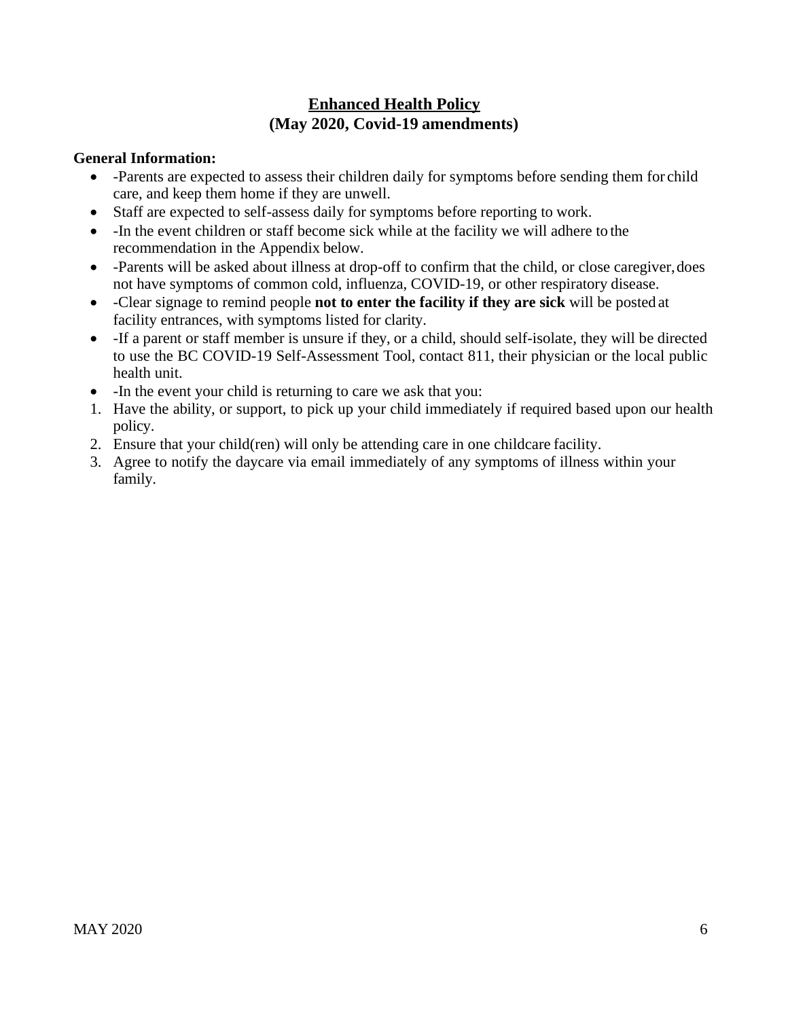#### **Enhanced Health Policy (May 2020, Covid-19 amendments)**

#### **General Information:**

- -Parents are expected to assess their children daily for symptoms before sending them for child care, and keep them home if they are unwell.
- Staff are expected to self-assess daily for symptoms before reporting to work.
- -In the event children or staff become sick while at the facility we will adhere to the recommendation in the Appendix below.
- -Parents will be asked about illness at drop-off to confirm that the child, or close caregiver, does not have symptoms of common cold, influenza, COVID-19, or other respiratory disease.
- -Clear signage to remind people **not to enter the facility if they are sick** will be posted at facility entrances, with symptoms listed for clarity.
- If a parent or staff member is unsure if they, or a child, should self-isolate, they will be directed to use the BC COVID-19 Self-Assessment Tool, contact 811, their physician or the local public health unit.
- In the event your child is returning to care we ask that you:
- 1. Have the ability, or support, to pick up your child immediately if required based upon our health policy.
- 2. Ensure that your child(ren) will only be attending care in one childcare facility.
- 3. Agree to notify the daycare via email immediately of any symptoms of illness within your family.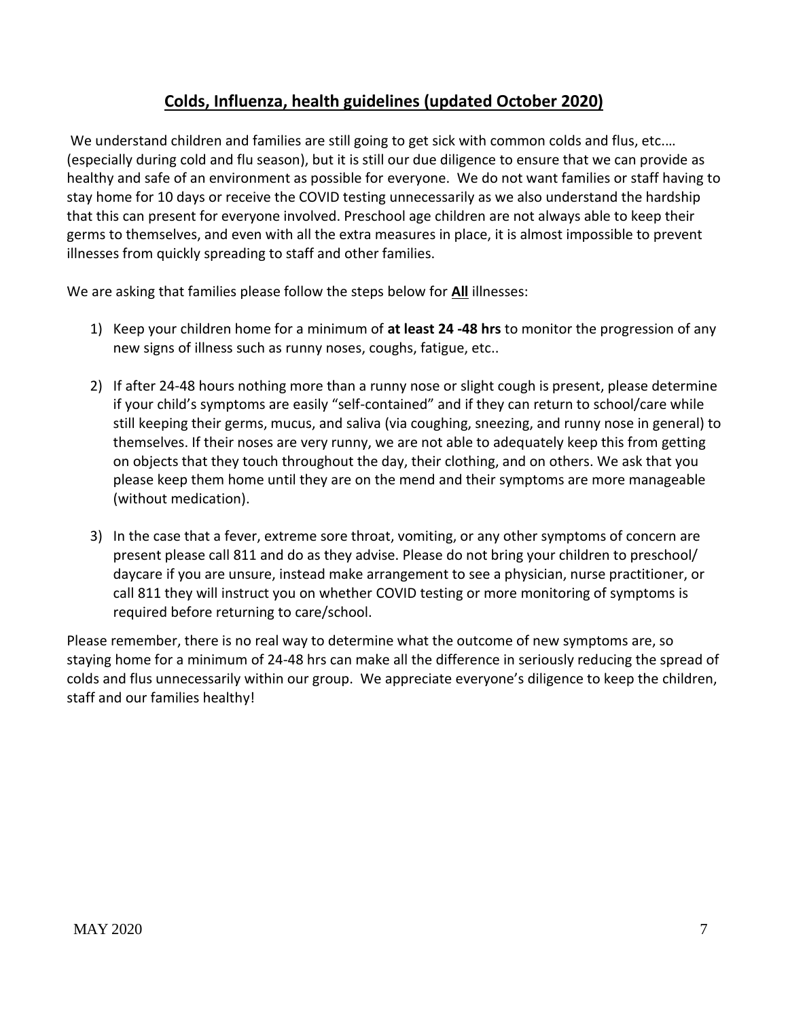## **Colds, Influenza, health guidelines (updated October 2020)**

We understand children and families are still going to get sick with common colds and flus, etc.... (especially during cold and flu season), but it is still our due diligence to ensure that we can provide as healthy and safe of an environment as possible for everyone. We do not want families or staff having to stay home for 10 days or receive the COVID testing unnecessarily as we also understand the hardship that this can present for everyone involved. Preschool age children are not always able to keep their germs to themselves, and even with all the extra measures in place, it is almost impossible to prevent illnesses from quickly spreading to staff and other families.

We are asking that families please follow the steps below for **All** illnesses:

- 1) Keep your children home for a minimum of **at least 24 -48 hrs** to monitor the progression of any new signs of illness such as runny noses, coughs, fatigue, etc..
- 2) If after 24-48 hours nothing more than a runny nose or slight cough is present, please determine if your child's symptoms are easily "self-contained" and if they can return to school/care while still keeping their germs, mucus, and saliva (via coughing, sneezing, and runny nose in general) to themselves. If their noses are very runny, we are not able to adequately keep this from getting on objects that they touch throughout the day, their clothing, and on others. We ask that you please keep them home until they are on the mend and their symptoms are more manageable (without medication).
- 3) In the case that a fever, extreme sore throat, vomiting, or any other symptoms of concern are present please call 811 and do as they advise. Please do not bring your children to preschool/ daycare if you are unsure, instead make arrangement to see a physician, nurse practitioner, or call 811 they will instruct you on whether COVID testing or more monitoring of symptoms is required before returning to care/school.

Please remember, there is no real way to determine what the outcome of new symptoms are, so staying home for a minimum of 24-48 hrs can make all the difference in seriously reducing the spread of colds and flus unnecessarily within our group. We appreciate everyone's diligence to keep the children, staff and our families healthy!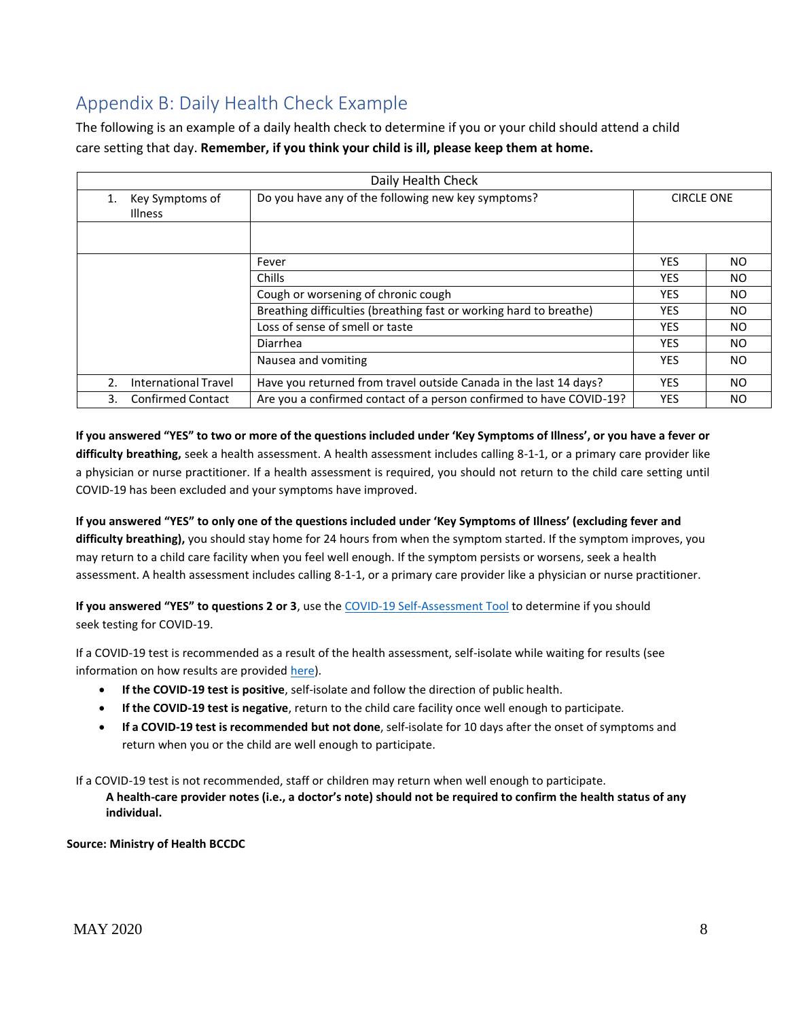# Appendix B: Daily Health Check Example

The following is an example of a daily health check to determine if you or your child should attend a child care setting that day. **Remember, if you think your child is ill, please keep them at home.**

| Daily Health Check |                                   |                                                                         |            |           |  |
|--------------------|-----------------------------------|-------------------------------------------------------------------------|------------|-----------|--|
| 1.                 | Key Symptoms of<br><b>Illness</b> | Do you have any of the following new key symptoms?<br><b>CIRCLE ONE</b> |            |           |  |
|                    |                                   |                                                                         |            |           |  |
|                    |                                   | Fever                                                                   | YES        | NO.       |  |
|                    |                                   | Chills                                                                  | <b>YES</b> | NO.       |  |
|                    |                                   | Cough or worsening of chronic cough                                     | <b>YES</b> | NO.       |  |
|                    |                                   | Breathing difficulties (breathing fast or working hard to breathe)      | YES.       | NO.       |  |
|                    |                                   | Loss of sense of smell or taste                                         | <b>YES</b> | NO.       |  |
|                    |                                   | Diarrhea                                                                | YES        | NO.       |  |
|                    |                                   | Nausea and vomiting                                                     | <b>YES</b> | NO.       |  |
| 2.                 | International Travel              | Have you returned from travel outside Canada in the last 14 days?       | <b>YES</b> | <b>NO</b> |  |
| 3.                 | <b>Confirmed Contact</b>          | Are you a confirmed contact of a person confirmed to have COVID-19?     | <b>YES</b> | NO.       |  |

**If you answered "YES" to two or more of the questions included under 'Key Symptoms of Illness', or you have a fever or difficulty breathing,** seek a health assessment. A health assessment includes calling 8-1-1, or a primary care provider like a physician or nurse practitioner. If a health assessment is required, you should not return to the child care setting until COVID-19 has been excluded and your symptoms have improved.

**If you answered "YES" to only one of the questions included under 'Key Symptoms of Illness' (excluding fever and difficulty breathing),** you should stay home for 24 hours from when the symptom started. If the symptom improves, you may return to a child care facility when you feel well enough. If the symptom persists or worsens, seek a health assessment. A health assessment includes calling 8-1-1, or a primary care provider like a physician or nurse practitioner.

**If you answered "YES" to questions 2 or 3**, use the [COVID-19 Self-Assessment Tool](https://bc.thrive.health/) to determine if you should seek testing for COVID-19.

If a COVID-19 test is recommended as a result of the health assessment, self-isolate while waiting for results (see information on how results are provided [here\)](http://www.bccdc.ca/health-info/diseases-conditions/covid-19/testing).

- **If the COVID-19 test is positive**, self-isolate and follow the direction of public health.
- **If the COVID-19 test is negative**, return to the child care facility once well enough to participate.
- **If a COVID-19 test is recommended but not done**, self-isolate for 10 days after the onset of symptoms and return when you or the child are well enough to participate.

If a COVID-19 test is not recommended, staff or children may return when well enough to participate. **A health-care provider notes (i.e., a doctor's note) should not be required to confirm the health status of any individual.**

**Source: Ministry of Health BCCDC**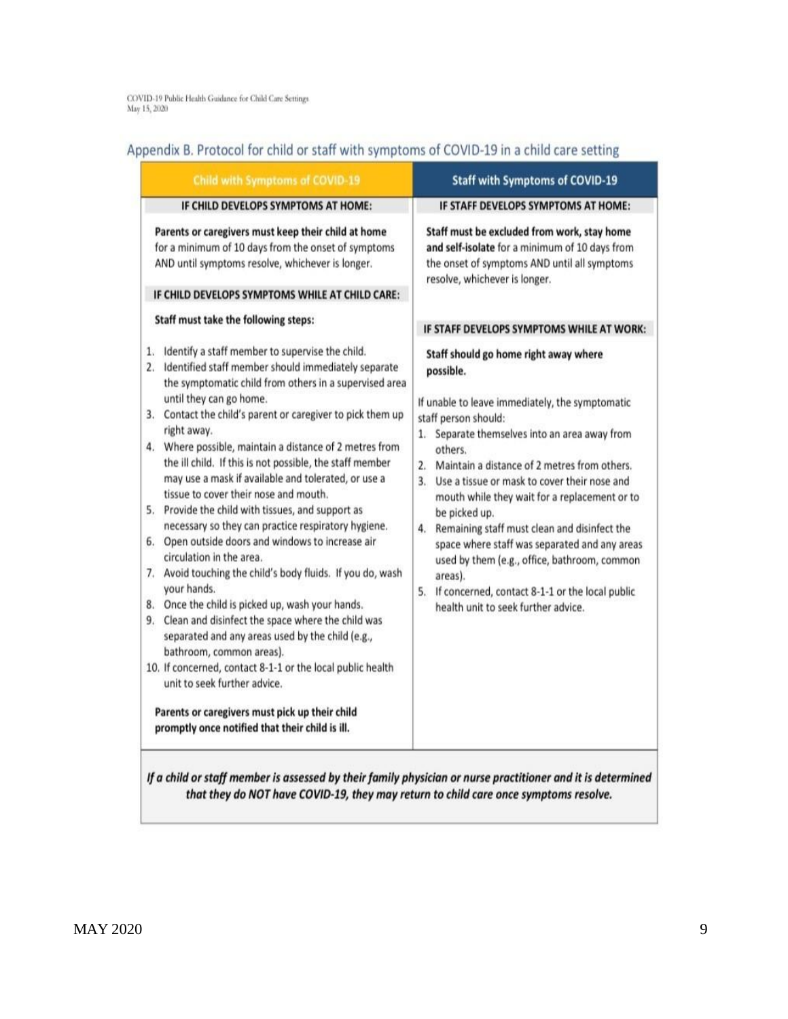$\rm COVID\text{-}19$  Public Health Guidance for Child Care Settings May 15, 2020

# Appendix B. Protocol for child or staff with symptoms of COVID-19 in a child care setting

| Child with Symptoms of COVID-19                                                                                                                                                                                                                                                                                                                                                                                                                                                                                                                                                                                                                                                                                                                                                                                                                                                                                                                                                                                                                                                                                                                                                            | <b>Staff with Symptoms of COVID-19</b>                                                                                                                                                                                                                                                                                                                                                                                                                                                                                                                                                                                        |  |
|--------------------------------------------------------------------------------------------------------------------------------------------------------------------------------------------------------------------------------------------------------------------------------------------------------------------------------------------------------------------------------------------------------------------------------------------------------------------------------------------------------------------------------------------------------------------------------------------------------------------------------------------------------------------------------------------------------------------------------------------------------------------------------------------------------------------------------------------------------------------------------------------------------------------------------------------------------------------------------------------------------------------------------------------------------------------------------------------------------------------------------------------------------------------------------------------|-------------------------------------------------------------------------------------------------------------------------------------------------------------------------------------------------------------------------------------------------------------------------------------------------------------------------------------------------------------------------------------------------------------------------------------------------------------------------------------------------------------------------------------------------------------------------------------------------------------------------------|--|
| IF CHILD DEVELOPS SYMPTOMS AT HOME:                                                                                                                                                                                                                                                                                                                                                                                                                                                                                                                                                                                                                                                                                                                                                                                                                                                                                                                                                                                                                                                                                                                                                        | IF STAFF DEVELOPS SYMPTOMS AT HOME:                                                                                                                                                                                                                                                                                                                                                                                                                                                                                                                                                                                           |  |
| Parents or caregivers must keep their child at home<br>for a minimum of 10 days from the onset of symptoms<br>AND until symptoms resolve, whichever is longer.<br>IF CHILD DEVELOPS SYMPTOMS WHILE AT CHILD CARE:<br>Staff must take the following steps:                                                                                                                                                                                                                                                                                                                                                                                                                                                                                                                                                                                                                                                                                                                                                                                                                                                                                                                                  | Staff must be excluded from work, stay home<br>and self-isolate for a minimum of 10 days from<br>the onset of symptoms AND until all symptoms<br>resolve, whichever is longer.<br>IF STAFF DEVELOPS SYMPTOMS WHILE AT WORK:                                                                                                                                                                                                                                                                                                                                                                                                   |  |
| 1. Identify a staff member to supervise the child.<br>Identified staff member should immediately separate<br>2.<br>the symptomatic child from others in a supervised area<br>until they can go home.<br>Contact the child's parent or caregiver to pick them up<br>3.<br>right away.<br>4. Where possible, maintain a distance of 2 metres from<br>the ill child. If this is not possible, the staff member<br>may use a mask if available and tolerated, or use a<br>tissue to cover their nose and mouth.<br>5. Provide the child with tissues, and support as<br>necessary so they can practice respiratory hygiene.<br>Open outside doors and windows to increase air<br>6.<br>circulation in the area.<br>Avoid touching the child's body fluids. If you do, wash<br>7.<br>your hands.<br>8. Once the child is picked up, wash your hands.<br>9. Clean and disinfect the space where the child was<br>separated and any areas used by the child (e.g.,<br>bathroom, common areas).<br>10. If concerned, contact 8-1-1 or the local public health<br>unit to seek further advice.<br>Parents or caregivers must pick up their child<br>promptly once notified that their child is ill. | Staff should go home right away where<br>possible.<br>If unable to leave immediately, the symptomatic<br>staff person should:<br>1. Separate themselves into an area away from<br>others.<br>2. Maintain a distance of 2 metres from others.<br>3. Use a tissue or mask to cover their nose and<br>mouth while they wait for a replacement or to<br>be picked up.<br>4. Remaining staff must clean and disinfect the<br>space where staff was separated and any areas<br>used by them (e.g., office, bathroom, common<br>areas).<br>5. If concerned, contact 8-1-1 or the local public<br>health unit to seek further advice. |  |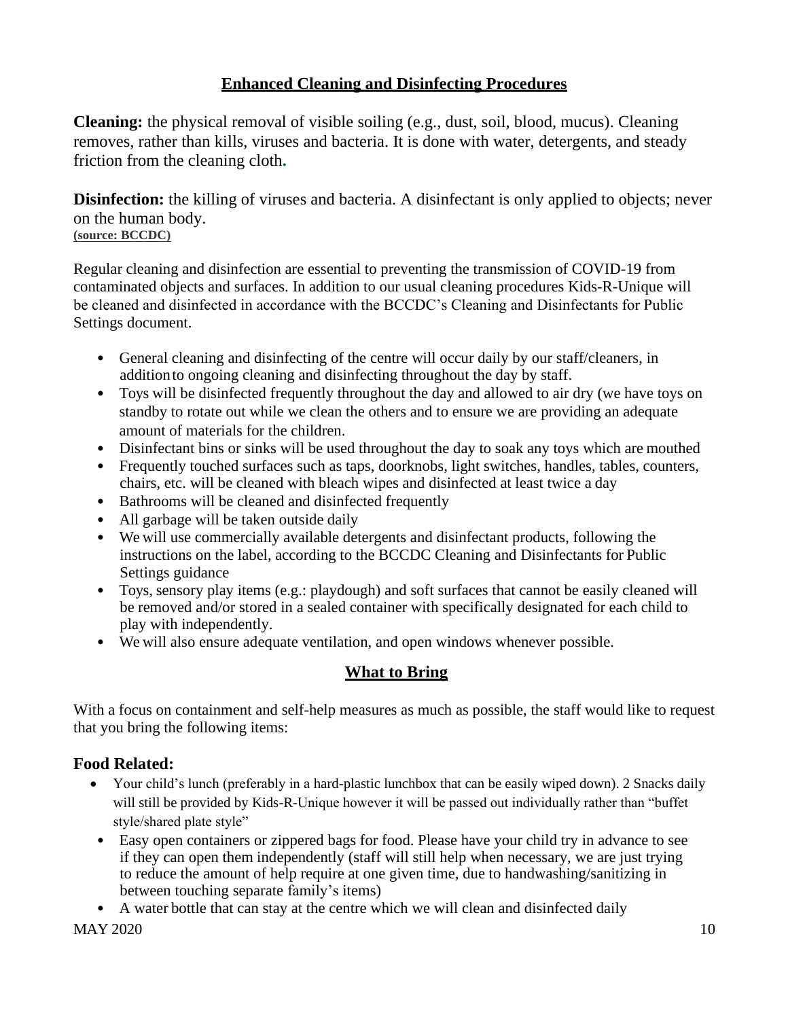## **Enhanced Cleaning and Disinfecting Procedures**

<span id="page-9-0"></span>**Cleaning:** the physical removal of visible soiling (e.g., dust, soil, blood, mucus). Cleaning removes, rather than kills, viruses and bacteria. It is done with water, detergents, and steady friction from the cleaning cloth**.**

**Disinfection:** the killing of viruses and bacteria. A disinfectant is only applied to objects; never on the human body. **(source: BCCDC)**

Regular cleaning and disinfection are essential to preventing the transmission of COVID-19 from contaminated objects and surfaces. In addition to our usual cleaning procedures Kids-R-Unique will be cleaned and disinfected in accordance with the BCCDC's Cleaning and Disinfectants for Public Settings document.

- General cleaning and disinfecting of the centre will occur daily by our staff/cleaners, in additionto ongoing cleaning and disinfecting throughout the day by staff.
- Toys will be disinfected frequently throughout the day and allowed to air dry (we have toys on standby to rotate out while we clean the others and to ensure we are providing an adequate amount of materials for the children.
- Disinfectant bins or sinks will be used throughout the day to soak any toys which are mouthed
- Frequently touched surfaces such as taps, doorknobs, light switches, handles, tables, counters, chairs, etc. will be cleaned with bleach wipes and disinfected at least twice a day
- Bathrooms will be cleaned and disinfected frequently
- All garbage will be taken outside daily
- We will use commercially available detergents and disinfectant products, following the instructions on the label, according to the BCCDC Cleaning and Disinfectants for Public Settings guidance
- Toys, sensory play items (e.g.: playdough) and soft surfaces that cannot be easily cleaned will be removed and/or stored in a sealed container with specifically designated for each child to play with independently.
- <span id="page-9-1"></span>• We will also ensure adequate ventilation, and open windows whenever possible.

#### **What to Bring**

With a focus on containment and self-help measures as much as possible, the staff would like to request that you bring the following items:

#### **Food Related:**

- Your child's lunch (preferably in a hard-plastic lunchbox that can be easily wiped down). 2 Snacks daily will still be provided by Kids-R-Unique however it will be passed out individually rather than "buffet style/shared plate style"
- Easy open containers or zippered bags for food. Please have your child try in advance to see if they can open them independently (staff will still help when necessary, we are just trying to reduce the amount of help require at one given time, due to handwashing/sanitizing in between touching separate family's items)
- A water bottle that can stay at the centre which we will clean and disinfected daily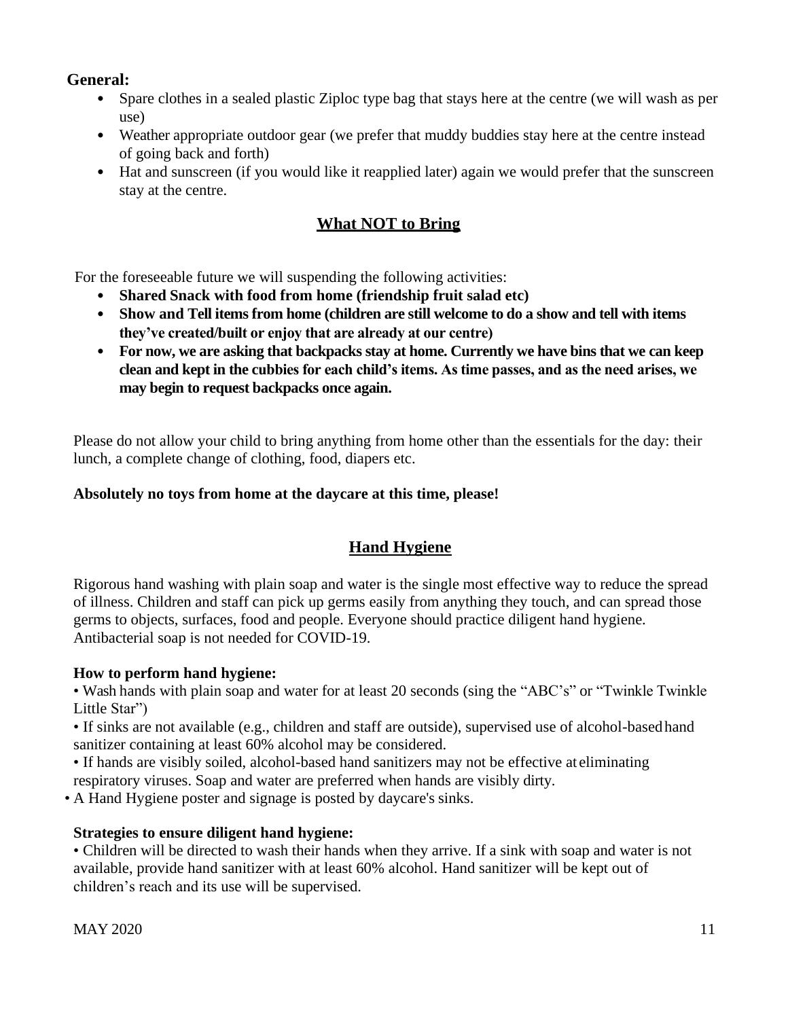#### **General:**

- Spare clothes in a sealed plastic Ziploc type bag that stays here at the centre (we will wash as per use)
- Weather appropriate outdoor gear (we prefer that muddy buddies stay here at the centre instead of going back and forth)
- <span id="page-10-0"></span>• Hat and sunscreen (if you would like it reapplied later) again we would prefer that the sunscreen stay at the centre.

#### **What NOT to Bring**

For the foreseeable future we will suspending the following activities:

- **Shared Snack with food from home (friendship fruit salad etc)**
- **Show and Tell items from home (children are still welcome to do a show and tell with items they've created/built or enjoy that are already at our centre)**
- **For now, we are asking that backpacks stay at home. Currently we have bins that we can keep clean and kept in the cubbies for each child's items. As time passes, and as the need arises, we may begin to request backpacks once again.**

Please do not allow your child to bring anything from home other than the essentials for the day: their lunch, a complete change of clothing, food, diapers etc.

#### <span id="page-10-1"></span>**Absolutely no toys from home at the daycare at this time, please!**

#### **Hand Hygiene**

Rigorous hand washing with plain soap and water is the single most effective way to reduce the spread of illness. Children and staff can pick up germs easily from anything they touch, and can spread those germs to objects, surfaces, food and people. Everyone should practice diligent hand hygiene. Antibacterial soap is not needed for COVID-19.

#### **How to perform hand hygiene:**

• Wash hands with plain soap and water for at least 20 seconds (sing the "ABC's" or "Twinkle Twinkle Little Star")

• If sinks are not available (e.g., children and staff are outside), supervised use of alcohol-basedhand sanitizer containing at least 60% alcohol may be considered.

• If hands are visibly soiled, alcohol-based hand sanitizers may not be effective at eliminating respiratory viruses. Soap and water are preferred when hands are visibly dirty.

• A Hand Hygiene poster and signage is posted by daycare's sinks.

#### **Strategies to ensure diligent hand hygiene:**

• Children will be directed to wash their hands when they arrive. If a sink with soap and water is not available, provide hand sanitizer with at least 60% alcohol. Hand sanitizer will be kept out of children's reach and its use will be supervised.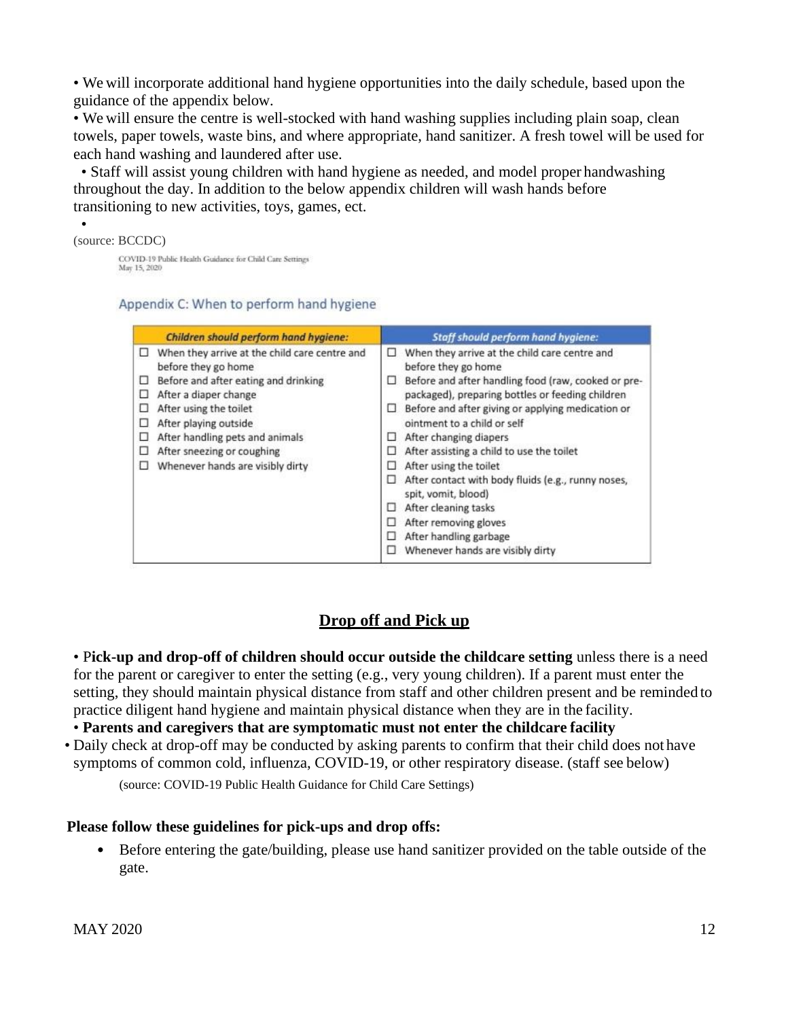• We will incorporate additional hand hygiene opportunities into the daily schedule, based upon the guidance of the appendix below.

• We will ensure the centre is well-stocked with hand washing supplies including plain soap, clean towels, paper towels, waste bins, and where appropriate, hand sanitizer. A fresh towel will be used for each hand washing and laundered after use.

• Staff will assist young children with hand hygiene as needed, and model proper handwashing throughout the day. In addition to the below appendix children will wash hands before transitioning to new activities, toys, games, ect.

#### (source: BCCDC) COVID-19 Public Health Guidance for Child Care Settings May 15, 2020

•

#### Appendix C: When to perform hand hygiene

|                                      | <b>Children should perform hand hygiene:</b>                                                                                                                                                                                                                                                  | <b>Staff should perform hand hygiene:</b>                                                                                                                                                                                                                                                                                                                                                                                                                                                                                                                                                                      |
|--------------------------------------|-----------------------------------------------------------------------------------------------------------------------------------------------------------------------------------------------------------------------------------------------------------------------------------------------|----------------------------------------------------------------------------------------------------------------------------------------------------------------------------------------------------------------------------------------------------------------------------------------------------------------------------------------------------------------------------------------------------------------------------------------------------------------------------------------------------------------------------------------------------------------------------------------------------------------|
| □<br>□<br>□<br>□<br>□<br>□<br>□<br>п | When they arrive at the child care centre and<br>before they go home<br>Before and after eating and drinking<br>After a diaper change<br>After using the toilet<br>After playing outside<br>After handling pets and animals<br>After sneezing or coughing<br>Whenever hands are visibly dirty | When they arrive at the child care centre and<br>□<br>before they go home<br>Before and after handling food (raw, cooked or pre-<br>□<br>packaged), preparing bottles or feeding children<br>Before and after giving or applying medication or<br>u.<br>ointment to a child or self<br>After changing diapers<br>ш<br>After assisting a child to use the toilet<br>$\Box$<br>After using the toilet<br>ш<br>After contact with body fluids (e.g., runny noses,<br>spit, vomit, blood)<br>After cleaning tasks<br>▫<br>After removing gloves<br>After handling garbage<br>⊔<br>Whenever hands are visibly dirty |

#### **Drop off and Pick up**

• P**ick-up and drop-off of children should occur outside the childcare setting** unless there is a need for the parent or caregiver to enter the setting (e.g., very young children). If a parent must enter the setting, they should maintain physical distance from staff and other children present and be reminded to practice diligent hand hygiene and maintain physical distance when they are in the facility.

• **Parents and caregivers that are symptomatic must not enter the childcare facility**

• Daily check at drop-off may be conducted by asking parents to confirm that their child does not have symptoms of common cold, influenza, COVID-19, or other respiratory disease. (staff see below)

(source: COVID-19 Public Health Guidance for Child Care Settings)

#### **Please follow these guidelines for pick-ups and drop offs:**

• Before entering the gate/building, please use hand sanitizer provided on the table outside of the gate.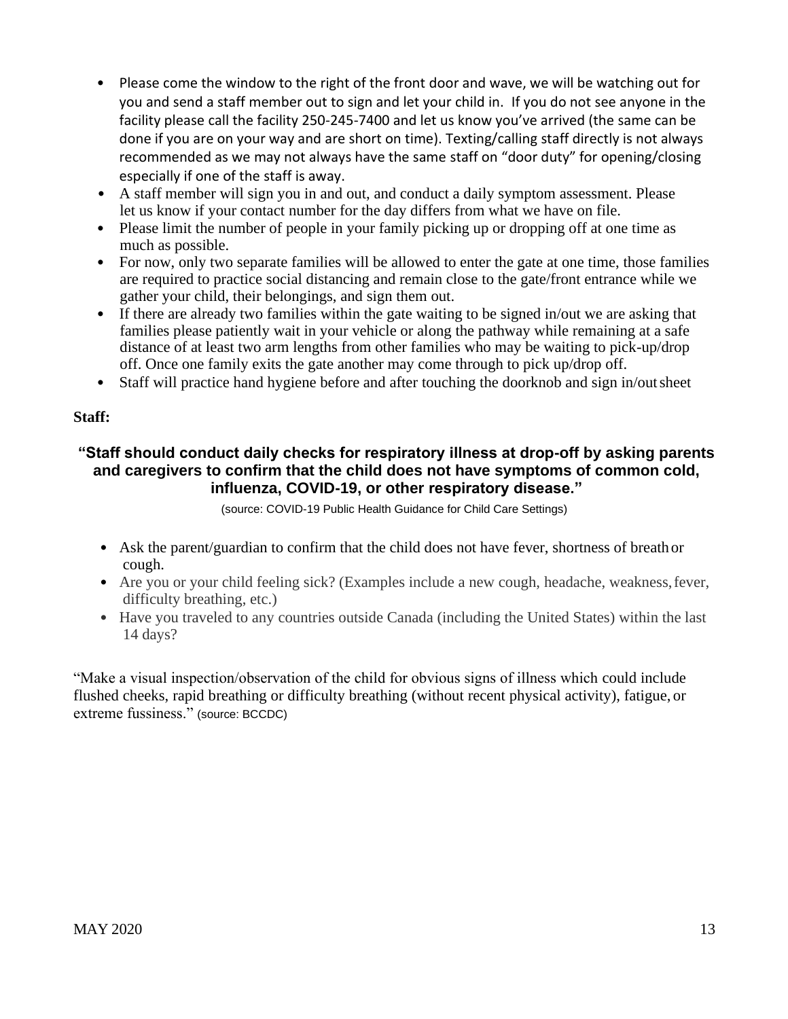- Please come the window to the right of the front door and wave, we will be watching out for you and send a staff member out to sign and let your child in. If you do not see anyone in the facility please call the facility 250-245-7400 and let us know you've arrived (the same can be done if you are on your way and are short on time). Texting/calling staff directly is not always recommended as we may not always have the same staff on "door duty" for opening/closing especially if one of the staff is away.
- A staff member will sign you in and out, and conduct a daily symptom assessment. Please let us know if your contact number for the day differs from what we have on file.
- Please limit the number of people in your family picking up or dropping off at one time as much as possible.
- For now, only two separate families will be allowed to enter the gate at one time, those families are required to practice social distancing and remain close to the gate/front entrance while we gather your child, their belongings, and sign them out.
- If there are already two families within the gate waiting to be signed in/out we are asking that families please patiently wait in your vehicle or along the pathway while remaining at a safe distance of at least two arm lengths from other families who may be waiting to pick-up/drop off. Once one family exits the gate another may come through to pick up/drop off.
- Staff will practice hand hygiene before and after touching the doorknob and sign in/out sheet

#### **Staff:**

#### **"Staff should conduct daily checks for respiratory illness at drop-off by asking parents and caregivers to confirm that the child does not have symptoms of common cold, influenza, COVID-19, or other respiratory disease."**

(source: COVID-19 Public Health Guidance for Child Care Settings)

- Ask the parent/guardian to confirm that the child does not have fever, shortness of breath or cough.
- Are you or your child feeling sick? (Examples include a new cough, headache, weakness, fever, difficulty breathing, etc.)
- Have you traveled to any countries outside Canada (including the United States) within the last 14 days?

<span id="page-12-0"></span>"Make a visual inspection/observation of the child for obvious signs of illness which could include flushed cheeks, rapid breathing or difficulty breathing (without recent physical activity), fatigue, or extreme fussiness." (source: BCCDC)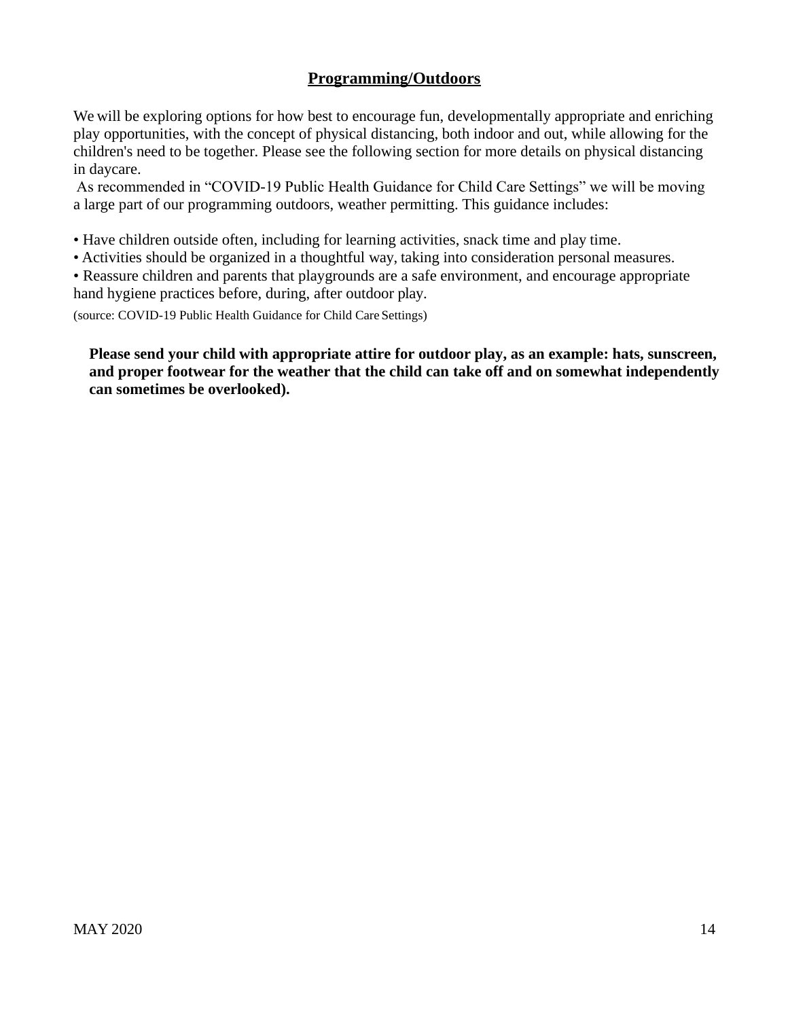#### **Programming/Outdoors**

We will be exploring options for how best to encourage fun, developmentally appropriate and enriching play opportunities, with the concept of physical distancing, both indoor and out, while allowing for the children's need to be together. Please see the following section for more details on physical distancing in daycare.

As recommended in "COVID-19 Public Health Guidance for Child Care Settings" we will be moving a large part of our programming outdoors, weather permitting. This guidance includes:

• Have children outside often, including for learning activities, snack time and play time.

• Activities should be organized in a thoughtful way, taking into consideration personal measures.

• Reassure children and parents that playgrounds are a safe environment, and encourage appropriate hand hygiene practices before, during, after outdoor play.

(source: COVID-19 Public Health Guidance for Child Care Settings)

**Please send your child with appropriate attire for outdoor play, as an example: hats, sunscreen, and proper footwear for the weather that the child can take off and on somewhat independently can sometimes be overlooked).**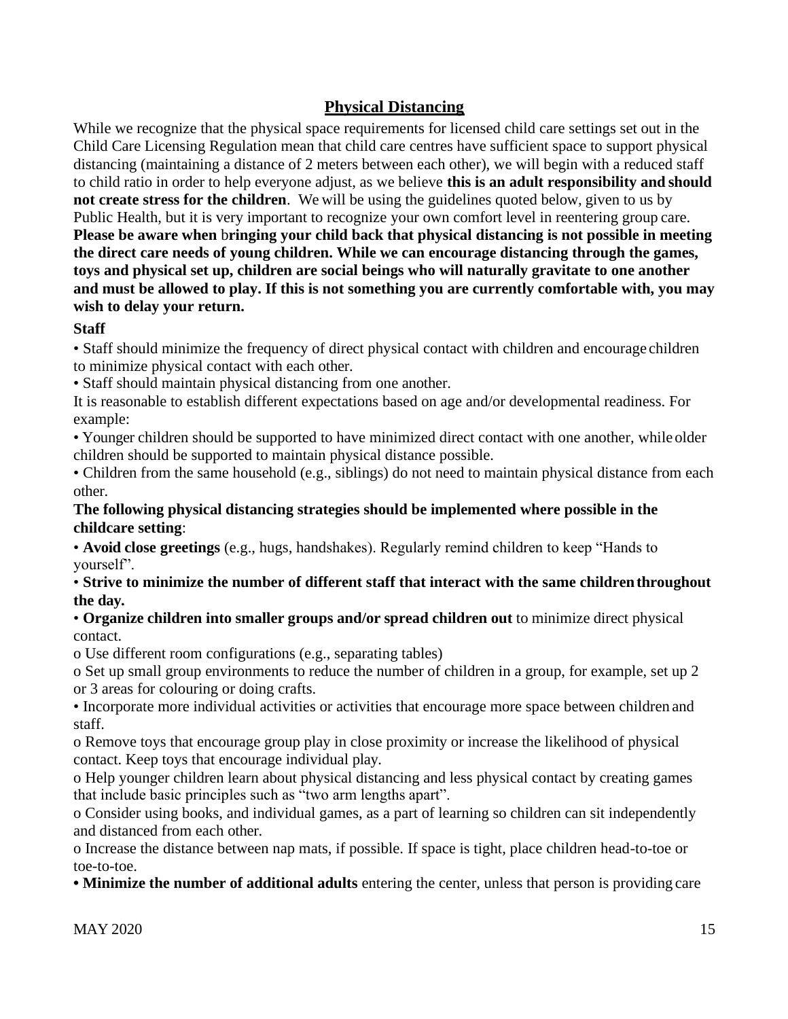#### **Physical Distancing**

<span id="page-14-0"></span>While we recognize that the physical space requirements for licensed child care settings set out in the Child Care Licensing Regulation mean that child care centres have sufficient space to support physical distancing (maintaining a distance of 2 meters between each other), we will begin with a reduced staff to child ratio in order to help everyone adjust, as we believe **this is an adult responsibility and should not create stress for the children**. We will be using the guidelines quoted below, given to us by Public Health, but it is very important to recognize your own comfort level in reentering group care. **Please be aware when** b**ringing your child back that physical distancing is not possible in meeting the direct care needs of young children. While we can encourage distancing through the games, toys and physical set up, children are social beings who will naturally gravitate to one another and must be allowed to play. If this is not something you are currently comfortable with, you may wish to delay your return.**

#### **Staff**

• Staff should minimize the frequency of direct physical contact with children and encourage children to minimize physical contact with each other.

• Staff should maintain physical distancing from one another.

It is reasonable to establish different expectations based on age and/or developmental readiness. For example:

• Younger children should be supported to have minimized direct contact with one another, while older children should be supported to maintain physical distance possible.

• Children from the same household (e.g., siblings) do not need to maintain physical distance from each other.

#### **The following physical distancing strategies should be implemented where possible in the childcare setting**:

• **Avoid close greetings** (e.g., hugs, handshakes). Regularly remind children to keep "Hands to yourself".

#### • **Strive to minimize the number of different staff that interact with the same childrenthroughout the day.**

#### • **Organize children into smaller groups and/or spread children out** to minimize direct physical contact.

o Use different room configurations (e.g., separating tables)

o Set up small group environments to reduce the number of children in a group, for example, set up 2 or 3 areas for colouring or doing crafts.

• Incorporate more individual activities or activities that encourage more space between children and staff.

o Remove toys that encourage group play in close proximity or increase the likelihood of physical contact. Keep toys that encourage individual play.

o Help younger children learn about physical distancing and less physical contact by creating games that include basic principles such as "two arm lengths apart".

o Consider using books, and individual games, as a part of learning so children can sit independently and distanced from each other.

o Increase the distance between nap mats, if possible. If space is tight, place children head-to-toe or toe-to-toe.

**• Minimize the number of additional adults** entering the center, unless that person is providing care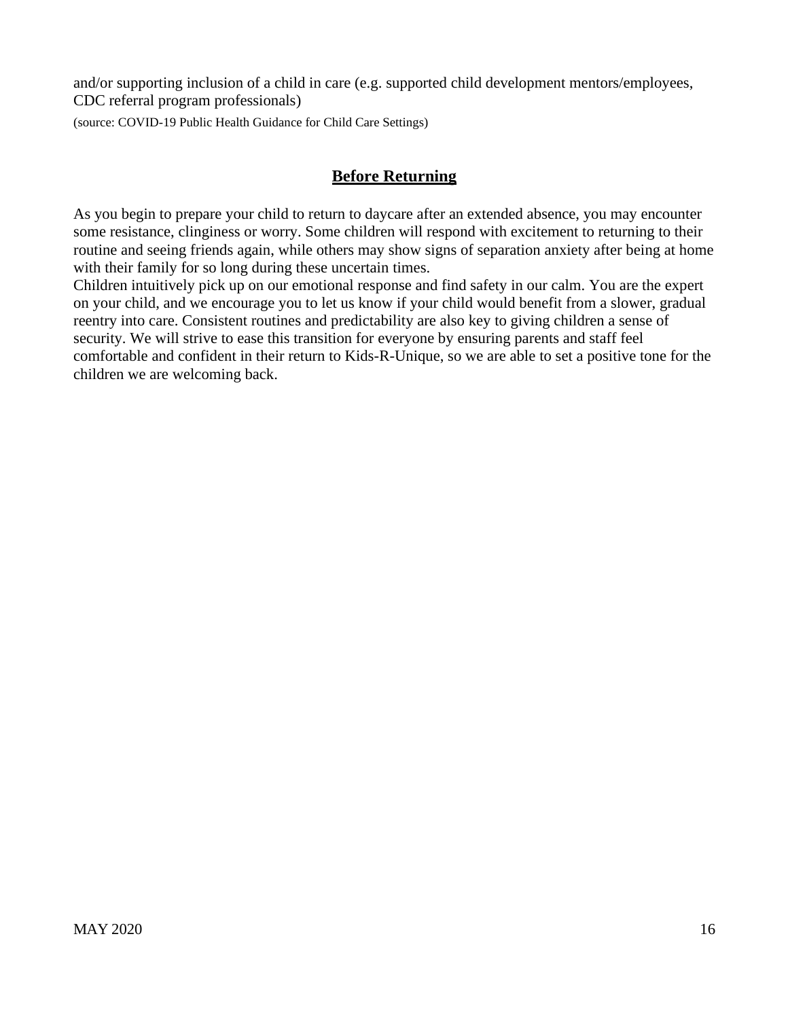and/or supporting inclusion of a child in care (e.g. supported child development mentors/employees, CDC referral program professionals)

<span id="page-15-0"></span>(source: COVID-19 Public Health Guidance for Child Care Settings)

#### **Before Returning**

As you begin to prepare your child to return to daycare after an extended absence, you may encounter some resistance, clinginess or worry. Some children will respond with excitement to returning to their routine and seeing friends again, while others may show signs of separation anxiety after being at home with their family for so long during these uncertain times.

<span id="page-15-1"></span>Children intuitively pick up on our emotional response and find safety in our calm. You are the expert on your child, and we encourage you to let us know if your child would benefit from a slower, gradual reentry into care. Consistent routines and predictability are also key to giving children a sense of security. We will strive to ease this transition for everyone by ensuring parents and staff feel comfortable and confident in their return to Kids-R-Unique, so we are able to set a positive tone for the children we are welcoming back.